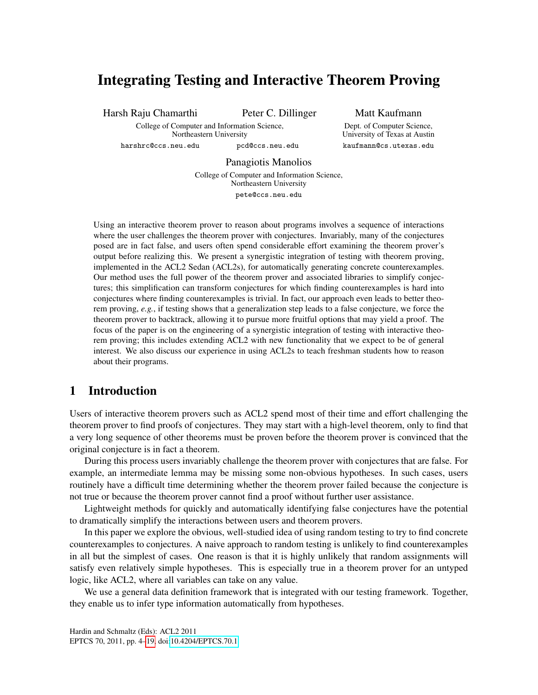# Integrating Testing and Interactive Theorem Proving

Harsh Raju Chamarthi Peter C. Dillinger

Matt Kaufmann Dept. of Computer Science,

University of Texas at Austin kaufmann@cs.utexas.edu

College of Computer and Information Science, Northeastern University

harshrc@ccs.neu.edu pcd@ccs.neu.edu

Panagiotis Manolios

College of Computer and Information Science, Northeastern University pete@ccs.neu.edu

Using an interactive theorem prover to reason about programs involves a sequence of interactions where the user challenges the theorem prover with conjectures. Invariably, many of the conjectures posed are in fact false, and users often spend considerable effort examining the theorem prover's output before realizing this. We present a synergistic integration of testing with theorem proving, implemented in the ACL2 Sedan (ACL2s), for automatically generating concrete counterexamples. Our method uses the full power of the theorem prover and associated libraries to simplify conjectures; this simplification can transform conjectures for which finding counterexamples is hard into conjectures where finding counterexamples is trivial. In fact, our approach even leads to better theorem proving, *e.g.*, if testing shows that a generalization step leads to a false conjecture, we force the theorem prover to backtrack, allowing it to pursue more fruitful options that may yield a proof. The focus of the paper is on the engineering of a synergistic integration of testing with interactive theorem proving; this includes extending ACL2 with new functionality that we expect to be of general interest. We also discuss our experience in using ACL2s to teach freshman students how to reason about their programs.

# 1 Introduction

Users of interactive theorem provers such as ACL2 spend most of their time and effort challenging the theorem prover to find proofs of conjectures. They may start with a high-level theorem, only to find that a very long sequence of other theorems must be proven before the theorem prover is convinced that the original conjecture is in fact a theorem.

During this process users invariably challenge the theorem prover with conjectures that are false. For example, an intermediate lemma may be missing some non-obvious hypotheses. In such cases, users routinely have a difficult time determining whether the theorem prover failed because the conjecture is not true or because the theorem prover cannot find a proof without further user assistance.

Lightweight methods for quickly and automatically identifying false conjectures have the potential to dramatically simplify the interactions between users and theorem provers.

In this paper we explore the obvious, well-studied idea of using random testing to try to find concrete counterexamples to conjectures. A naive approach to random testing is unlikely to find counterexamples in all but the simplest of cases. One reason is that it is highly unlikely that random assignments will satisfy even relatively simple hypotheses. This is especially true in a theorem prover for an untyped logic, like ACL2, where all variables can take on any value.

We use a general data definition framework that is integrated with our testing framework. Together, they enable us to infer type information automatically from hypotheses.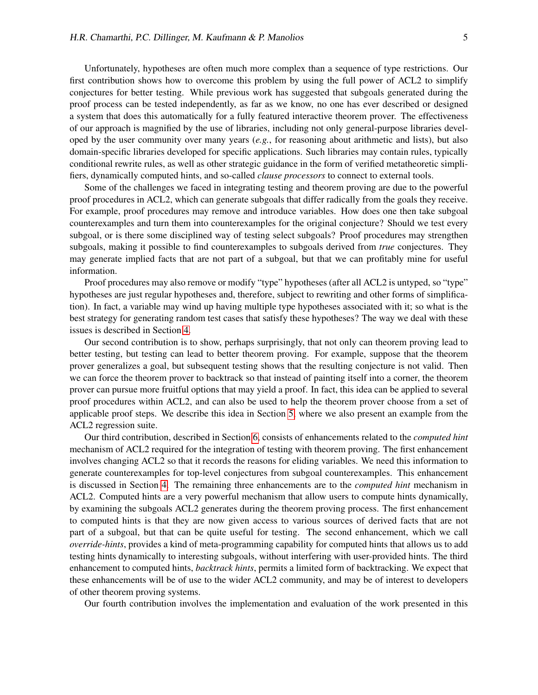Unfortunately, hypotheses are often much more complex than a sequence of type restrictions. Our first contribution shows how to overcome this problem by using the full power of ACL2 to simplify conjectures for better testing. While previous work has suggested that subgoals generated during the proof process can be tested independently, as far as we know, no one has ever described or designed a system that does this automatically for a fully featured interactive theorem prover. The effectiveness of our approach is magnified by the use of libraries, including not only general-purpose libraries developed by the user community over many years (*e.g.*, for reasoning about arithmetic and lists), but also domain-specific libraries developed for specific applications. Such libraries may contain rules, typically conditional rewrite rules, as well as other strategic guidance in the form of verified metatheoretic simplifiers, dynamically computed hints, and so-called *clause processors* to connect to external tools.

Some of the challenges we faced in integrating testing and theorem proving are due to the powerful proof procedures in ACL2, which can generate subgoals that differ radically from the goals they receive. For example, proof procedures may remove and introduce variables. How does one then take subgoal counterexamples and turn them into counterexamples for the original conjecture? Should we test every subgoal, or is there some disciplined way of testing select subgoals? Proof procedures may strengthen subgoals, making it possible to find counterexamples to subgoals derived from *true* conjectures. They may generate implied facts that are not part of a subgoal, but that we can profitably mine for useful information.

Proof procedures may also remove or modify "type" hypotheses (after all ACL2 is untyped, so "type" hypotheses are just regular hypotheses and, therefore, subject to rewriting and other forms of simplification). In fact, a variable may wind up having multiple type hypotheses associated with it; so what is the best strategy for generating random test cases that satisfy these hypotheses? The way we deal with these issues is described in Section [4.](#page-7-0)

Our second contribution is to show, perhaps surprisingly, that not only can theorem proving lead to better testing, but testing can lead to better theorem proving. For example, suppose that the theorem prover generalizes a goal, but subsequent testing shows that the resulting conjecture is not valid. Then we can force the theorem prover to backtrack so that instead of painting itself into a corner, the theorem prover can pursue more fruitful options that may yield a proof. In fact, this idea can be applied to several proof procedures within ACL2, and can also be used to help the theorem prover choose from a set of applicable proof steps. We describe this idea in Section [5,](#page-10-0) where we also present an example from the ACL2 regression suite.

Our third contribution, described in Section [6,](#page-11-0) consists of enhancements related to the *computed hint* mechanism of ACL2 required for the integration of testing with theorem proving. The first enhancement involves changing ACL2 so that it records the reasons for eliding variables. We need this information to generate counterexamples for top-level conjectures from subgoal counterexamples. This enhancement is discussed in Section [4.](#page-7-0) The remaining three enhancements are to the *computed hint* mechanism in ACL2. Computed hints are a very powerful mechanism that allow users to compute hints dynamically, by examining the subgoals ACL2 generates during the theorem proving process. The first enhancement to computed hints is that they are now given access to various sources of derived facts that are not part of a subgoal, but that can be quite useful for testing. The second enhancement, which we call *override-hints*, provides a kind of meta-programming capability for computed hints that allows us to add testing hints dynamically to interesting subgoals, without interfering with user-provided hints. The third enhancement to computed hints, *backtrack hints*, permits a limited form of backtracking. We expect that these enhancements will be of use to the wider ACL2 community, and may be of interest to developers of other theorem proving systems.

Our fourth contribution involves the implementation and evaluation of the work presented in this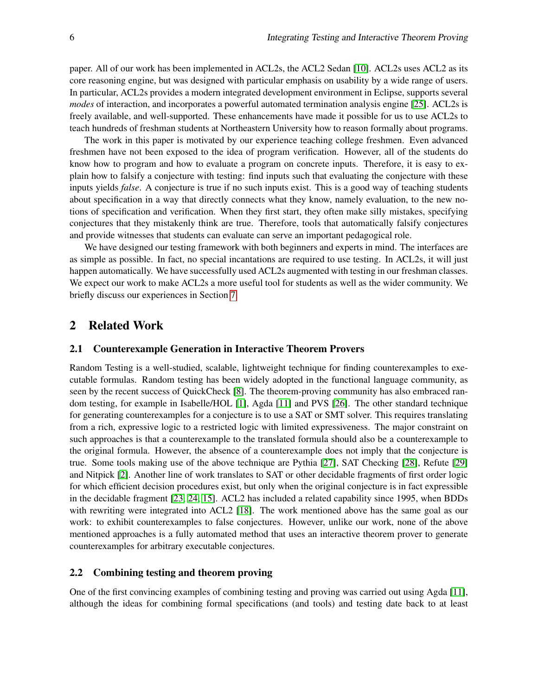paper. All of our work has been implemented in ACL2s, the ACL2 Sedan [\[10\]](#page-14-0). ACL2s uses ACL2 as its core reasoning engine, but was designed with particular emphasis on usability by a wide range of users. In particular, ACL2s provides a modern integrated development environment in Eclipse, supports several *modes* of interaction, and incorporates a powerful automated termination analysis engine [\[25\]](#page-15-1). ACL2s is freely available, and well-supported. These enhancements have made it possible for us to use ACL2s to teach hundreds of freshman students at Northeastern University how to reason formally about programs.

The work in this paper is motivated by our experience teaching college freshmen. Even advanced freshmen have not been exposed to the idea of program verification. However, all of the students do know how to program and how to evaluate a program on concrete inputs. Therefore, it is easy to explain how to falsify a conjecture with testing: find inputs such that evaluating the conjecture with these inputs yields *false*. A conjecture is true if no such inputs exist. This is a good way of teaching students about specification in a way that directly connects what they know, namely evaluation, to the new notions of specification and verification. When they first start, they often make silly mistakes, specifying conjectures that they mistakenly think are true. Therefore, tools that automatically falsify conjectures and provide witnesses that students can evaluate can serve an important pedagogical role.

We have designed our testing framework with both beginners and experts in mind. The interfaces are as simple as possible. In fact, no special incantations are required to use testing. In ACL2s, it will just happen automatically. We have successfully used ACL2s augmented with testing in our freshman classes. We expect our work to make ACL2s a more useful tool for students as well as the wider community. We briefly discuss our experiences in Section [7.](#page-12-0)

# 2 Related Work

#### 2.1 Counterexample Generation in Interactive Theorem Provers

Random Testing is a well-studied, scalable, lightweight technique for finding counterexamples to executable formulas. Random testing has been widely adopted in the functional language community, as seen by the recent success of QuickCheck [\[8\]](#page-14-1). The theorem-proving community has also embraced random testing, for example in Isabelle/HOL [\[1\]](#page-14-2), Agda [\[11\]](#page-14-3) and PVS [\[26\]](#page-15-2). The other standard technique for generating counterexamples for a conjecture is to use a SAT or SMT solver. This requires translating from a rich, expressive logic to a restricted logic with limited expressiveness. The major constraint on such approaches is that a counterexample to the translated formula should also be a counterexample to the original formula. However, the absence of a counterexample does not imply that the conjecture is true. Some tools making use of the above technique are Pythia [\[27\]](#page-15-3), SAT Checking [\[28\]](#page-15-4), Refute [\[29\]](#page-15-5) and Nitpick [\[2\]](#page-14-4). Another line of work translates to SAT or other decidable fragments of first order logic for which efficient decision procedures exist, but only when the original conjecture is in fact expressible in the decidable fragment [\[23,](#page-15-6) [24,](#page-15-7) [15\]](#page-15-8). ACL2 has included a related capability since 1995, when BDDs with rewriting were integrated into ACL2 [\[18\]](#page-15-9). The work mentioned above has the same goal as our work: to exhibit counterexamples to false conjectures. However, unlike our work, none of the above mentioned approaches is a fully automated method that uses an interactive theorem prover to generate counterexamples for arbitrary executable conjectures.

#### 2.2 Combining testing and theorem proving

One of the first convincing examples of combining testing and proving was carried out using Agda [\[11\]](#page-14-3), although the ideas for combining formal specifications (and tools) and testing date back to at least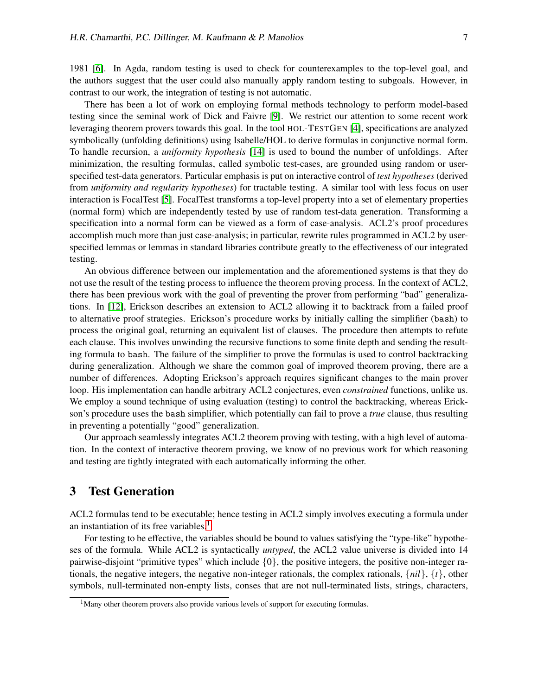1981 [\[6\]](#page-14-5). In Agda, random testing is used to check for counterexamples to the top-level goal, and the authors suggest that the user could also manually apply random testing to subgoals. However, in contrast to our work, the integration of testing is not automatic.

There has been a lot of work on employing formal methods technology to perform model-based testing since the seminal work of Dick and Faivre [\[9\]](#page-14-6). We restrict our attention to some recent work leveraging theorem provers towards this goal. In the tool HOL-TESTGEN [\[4\]](#page-14-7), specifications are analyzed symbolically (unfolding definitions) using Isabelle/HOL to derive formulas in conjunctive normal form. To handle recursion, a *uniformity hypothesis* [\[14\]](#page-15-10) is used to bound the number of unfoldings. After minimization, the resulting formulas, called symbolic test-cases, are grounded using random or userspecified test-data generators. Particular emphasis is put on interactive control of *test hypotheses* (derived from *uniformity and regularity hypotheses*) for tractable testing. A similar tool with less focus on user interaction is FocalTest [\[5\]](#page-14-8). FocalTest transforms a top-level property into a set of elementary properties (normal form) which are independently tested by use of random test-data generation. Transforming a specification into a normal form can be viewed as a form of case-analysis. ACL2's proof procedures accomplish much more than just case-analysis; in particular, rewrite rules programmed in ACL2 by userspecified lemmas or lemmas in standard libraries contribute greatly to the effectiveness of our integrated testing.

An obvious difference between our implementation and the aforementioned systems is that they do not use the result of the testing process to influence the theorem proving process. In the context of ACL2, there has been previous work with the goal of preventing the prover from performing "bad" generalizations. In [\[12\]](#page-14-9), Erickson describes an extension to ACL2 allowing it to backtrack from a failed proof to alternative proof strategies. Erickson's procedure works by initially calling the simplifier (bash) to process the original goal, returning an equivalent list of clauses. The procedure then attempts to refute each clause. This involves unwinding the recursive functions to some finite depth and sending the resulting formula to bash. The failure of the simplifier to prove the formulas is used to control backtracking during generalization. Although we share the common goal of improved theorem proving, there are a number of differences. Adopting Erickson's approach requires significant changes to the main prover loop. His implementation can handle arbitrary ACL2 conjectures, even *constrained* functions, unlike us. We employ a sound technique of using evaluation (testing) to control the backtracking, whereas Erickson's procedure uses the bash simplifier, which potentially can fail to prove a *true* clause, thus resulting in preventing a potentially "good" generalization.

Our approach seamlessly integrates ACL2 theorem proving with testing, with a high level of automation. In the context of interactive theorem proving, we know of no previous work for which reasoning and testing are tightly integrated with each automatically informing the other.

# <span id="page-3-1"></span>3 Test Generation

ACL2 formulas tend to be executable; hence testing in ACL2 simply involves executing a formula under an instantiation of its free variables.<sup>[1](#page-3-0)</sup>

For testing to be effective, the variables should be bound to values satisfying the "type-like" hypotheses of the formula. While ACL2 is syntactically *untyped*, the ACL2 value universe is divided into 14 pairwise-disjoint "primitive types" which include  $\{0\}$ , the positive integers, the positive non-integer rationals, the negative integers, the negative non-integer rationals, the complex rationals,  $\{nil\}$ ,  $\{t\}$ , other symbols, null-terminated non-empty lists, conses that are not null-terminated lists, strings, characters,

<span id="page-3-0"></span><sup>&</sup>lt;sup>1</sup>Many other theorem provers also provide various levels of support for executing formulas.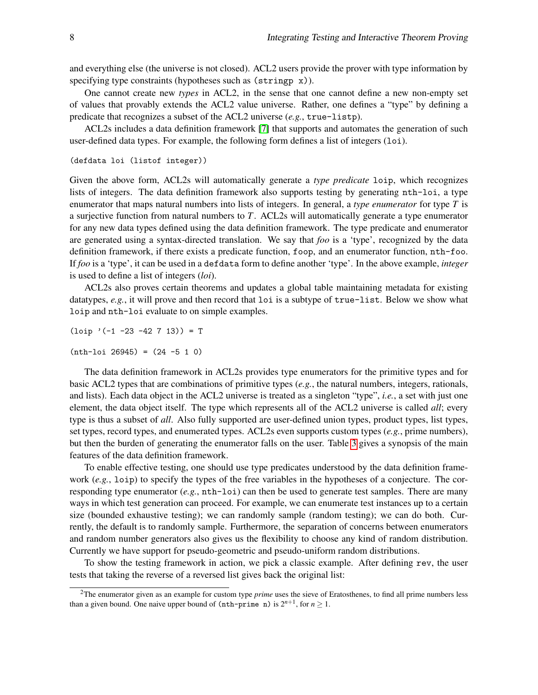and everything else (the universe is not closed). ACL2 users provide the prover with type information by specifying type constraints (hypotheses such as  $(\text{string } x)$ ).

One cannot create new *types* in ACL2, in the sense that one cannot define a new non-empty set of values that provably extends the ACL2 value universe. Rather, one defines a "type" by defining a predicate that recognizes a subset of the ACL2 universe (*e.g.*, true-listp).

ACL2s includes a data definition framework [\[7\]](#page-14-10) that supports and automates the generation of such user-defined data types. For example, the following form defines a list of integers (loi).

```
(defdata loi (listof integer))
```
Given the above form, ACL2s will automatically generate a *type predicate* loip, which recognizes lists of integers. The data definition framework also supports testing by generating nth-loi, a type enumerator that maps natural numbers into lists of integers. In general, a *type enumerator* for type *T* is a surjective function from natural numbers to *T*. ACL2s will automatically generate a type enumerator for any new data types defined using the data definition framework. The type predicate and enumerator are generated using a syntax-directed translation. We say that *foo* is a 'type', recognized by the data definition framework, if there exists a predicate function, foop, and an enumerator function, nth-foo. If *foo* is a 'type', it can be used in a defdata form to define another 'type'. In the above example, *integer* is used to define a list of integers (*loi*).

ACL2s also proves certain theorems and updates a global table maintaining metadata for existing datatypes, *e.g.*, it will prove and then record that loi is a subtype of true-list. Below we show what loip and nth-loi evaluate to on simple examples.

 $(loip '(-1 -23 -42 7 13)) = T$  $(nth-1oi 26945) = (24 -5 1 0)$ 

The data definition framework in ACL2s provides type enumerators for the primitive types and for basic ACL2 types that are combinations of primitive types (*e.g.*, the natural numbers, integers, rationals, and lists). Each data object in the ACL2 universe is treated as a singleton "type", *i.e.*, a set with just one element, the data object itself. The type which represents all of the ACL2 universe is called *all*; every type is thus a subset of *all*. Also fully supported are user-defined union types, product types, list types, set types, record types, and enumerated types. ACL2s even supports custom types (*e.g.*, prime numbers), but then the burden of generating the enumerator falls on the user. Table [3](#page-3-1) gives a synopsis of the main features of the data definition framework.

To enable effective testing, one should use type predicates understood by the data definition framework (*e.g.*, loip) to specify the types of the free variables in the hypotheses of a conjecture. The corresponding type enumerator (*e.g.*, nth-loi) can then be used to generate test samples. There are many ways in which test generation can proceed. For example, we can enumerate test instances up to a certain size (bounded exhaustive testing); we can randomly sample (random testing); we can do both. Currently, the default is to randomly sample. Furthermore, the separation of concerns between enumerators and random number generators also gives us the flexibility to choose any kind of random distribution. Currently we have support for pseudo-geometric and pseudo-uniform random distributions.

To show the testing framework in action, we pick a classic example. After defining rev, the user tests that taking the reverse of a reversed list gives back the original list:

<span id="page-4-0"></span><sup>2</sup>The enumerator given as an example for custom type *prime* uses the sieve of Eratosthenes, to find all prime numbers less than a given bound. One naive upper bound of  $(nth-prime n)$  is  $2^{n+1}$ , for  $n \geq 1$ .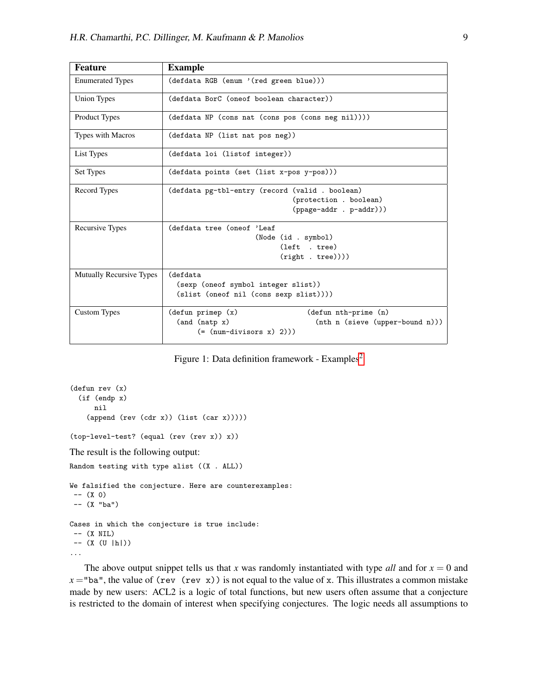| <b>Feature</b>                  | <b>Example</b>                                                  |
|---------------------------------|-----------------------------------------------------------------|
| <b>Enumerated Types</b>         | (defdata RGB (enum '(red green blue)))                          |
| Union Types                     | (defdata BorC (oneof boolean character))                        |
| Product Types                   | (defdata NP (cons nat (cons pos (cons neg nil))))               |
| Types with Macros               | (defdata NP (list nat pos neg))                                 |
| List Types                      | (defdata loi (listof integer))                                  |
| Set Types                       | (defdata points (set (list x-pos y-pos)))                       |
| Record Types                    | (defdata pg-tbl-entry (record (valid . boolean)                 |
|                                 | (protection . boolean)                                          |
|                                 | $(ppage-addr . p-addr))$                                        |
| Recursive Types                 | (defdata tree (oneof 'Leaf                                      |
|                                 | (Node (id . symbol)                                             |
|                                 | (left . tree)                                                   |
|                                 | (right . tree))))                                               |
| <b>Mutually Recursive Types</b> | (defdata                                                        |
|                                 | (sexp (oneof symbol integer slist))                             |
|                                 | (slist (oneof nil (cons sexp slist))))                          |
| <b>Custom Types</b>             | $(\text{defun prime})$ $(x)$<br>$(\text{defun nth-prime } (n))$ |
|                                 | (and (natp x)<br>(nth n (sieve (upper-bound n)))                |
|                                 | $(=(num-divisors x) 2)))$                                       |

Figure 1: Data definition framework - Examples<sup>[2](#page-4-0)</sup>

```
(defun rev (x)
  (if (endp x)
      nil
    (\text{append (rev (cdr x)) (list (car x))))(top-level-test? (equal (rev (rev x)) x))
The result is the following output:
Random testing with type alist ((X . ALL))
We falsified the conjecture. Here are counterexamples:
 -- (X 0)-- (X "ba")
Cases in which the conjecture is true include:
 -- (X NIL)
-- (X (U |h|))
...
```
The above output snippet tells us that *x* was randomly instantiated with type *all* and for  $x = 0$  and  $x =$ "ba", the value of (rev (rev x)) is not equal to the value of x. This illustrates a common mistake made by new users: ACL2 is a logic of total functions, but new users often assume that a conjecture is restricted to the domain of interest when specifying conjectures. The logic needs all assumptions to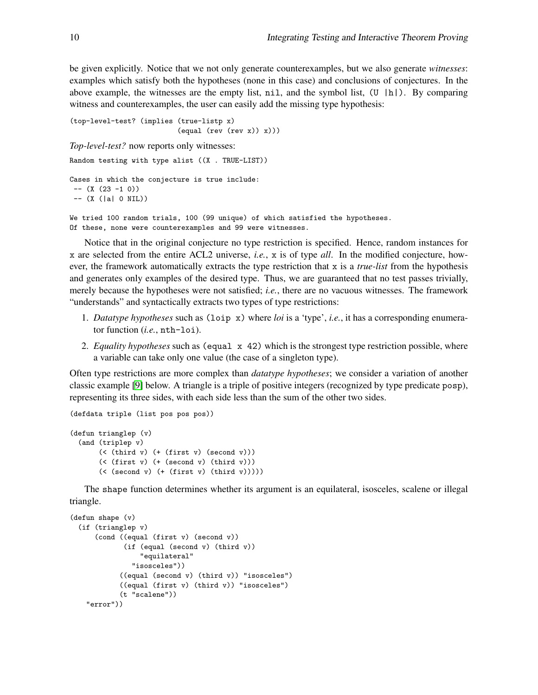be given explicitly. Notice that we not only generate counterexamples, but we also generate *witnesses*: examples which satisfy both the hypotheses (none in this case) and conclusions of conjectures. In the above example, the witnesses are the empty list, nil, and the symbol list,  $(U | h|)$ . By comparing witness and counterexamples, the user can easily add the missing type hypothesis:

```
(top-level-test? (implies (true-listp x)
                          (equal (rev (rev x)) x)))
Top-level-test? now reports only witnesses:
Random testing with type alist ((X . TRUE-LIST))
Cases in which the conjecture is true include:
-- (X (23 -1 0))-- (X (|a| 0 NIL))We tried 100 random trials, 100 (99 unique) of which satisfied the hypotheses.
```
Of these, none were counterexamples and 99 were witnesses.

Notice that in the original conjecture no type restriction is specified. Hence, random instances for x are selected from the entire ACL2 universe, *i.e.*, x is of type *all*. In the modified conjecture, however, the framework automatically extracts the type restriction that x is a *true-list* from the hypothesis and generates only examples of the desired type. Thus, we are guaranteed that no test passes trivially, merely because the hypotheses were not satisfied; *i.e.*, there are no vacuous witnesses. The framework "understands" and syntactically extracts two types of type restrictions:

- 1. *Datatype hypotheses* such as (loip x) where *loi* is a 'type', *i.e.*, it has a corresponding enumerator function (*i.e.*, nth-loi).
- 2. *Equality hypotheses* such as (equal x 42) which is the strongest type restriction possible, where a variable can take only one value (the case of a singleton type).

Often type restrictions are more complex than *datatype hypotheses*; we consider a variation of another classic example [\[9\]](#page-14-6) below. A triangle is a triple of positive integers (recognized by type predicate posp), representing its three sides, with each side less than the sum of the other two sides.

```
(defdata triple (list pos pos pos))
(defun trianglep (v)
  (and (triplep v)
       (< (third v) (+ (first v) (second v)))
       (< (first v)) (+ (second v)) (third v)))
       (< (second v) (+ (first v) (third v)))))
```
The shape function determines whether its argument is an equilateral, isosceles, scalene or illegal triangle.

```
(defun shape (v)
  (if (trianglep v)
      (cond ((equal (first v) (second v))
             (if (equal (second v) (third v))
                 "equilateral"
               "isosceles"))
            ((equal (second v) (third v)) "isosceles")
            ((equal (first v) (third v)) "isosceles")
            (t "scalene"))
   "error"))
```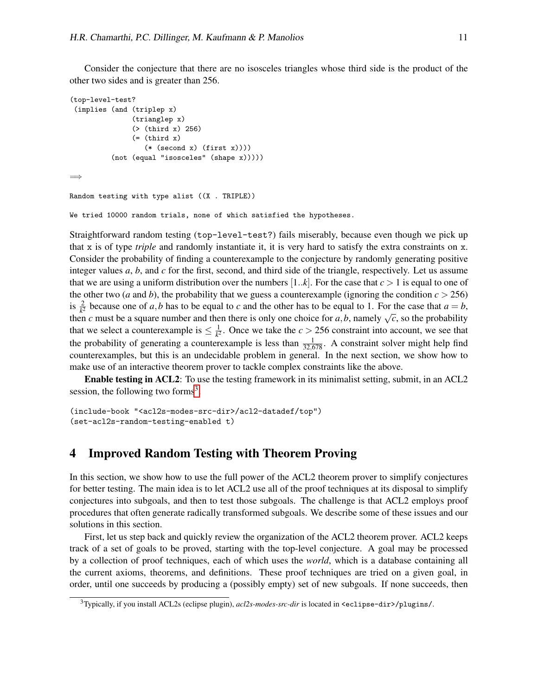Consider the conjecture that there are no isosceles triangles whose third side is the product of the other two sides and is greater than 256.

```
(top-level-test?
 (implies (and (triplep x)
               (trianglep x)
               (> (third x) 256)
               ( = (third x)(* (second x) (first x))))(not (equal "isosceles" (shape x)))))
=⇒
Random testing with type alist ((X . TRIPLE))
```
We tried 10000 random trials, none of which satisfied the hypotheses.

Straightforward random testing (top-level-test?) fails miserably, because even though we pick up that x is of type *triple* and randomly instantiate it, it is very hard to satisfy the extra constraints on x. Consider the probability of finding a counterexample to the conjecture by randomly generating positive integer values *a*, *b*, and *c* for the first, second, and third side of the triangle, respectively. Let us assume that we are using a uniform distribution over the numbers  $[1..k]$ . For the case that  $c > 1$  is equal to one of the other two (*a* and *b*), the probability that we guess a counterexample (ignoring the condition  $c > 256$ ) is  $\frac{2}{k^2}$  because one of *a*,*b* has to be equal to *c* and the other has to be equal to 1. For the case that  $a = b$ , then *c* must be a square number and then there is only one choice for *a*,*b*, namely  $\sqrt{c}$ , so the probability then *c* must be a square number and then there is only one choice for *a*,*b*, namely  $\sqrt{c}$ , so the pro that we select a counterexample is  $\leq \frac{1}{k^2}$  $\frac{1}{k^2}$ . Once we take the *c* > 256 constraint into account, we see that the probability of generating a counterexample is less than  $\frac{1}{32,678}$ . A constraint solver might help find counterexamples, but this is an undecidable problem in general. In the next section, we show how to make use of an interactive theorem prover to tackle complex constraints like the above.

Enable testing in ACL2: To use the testing framework in its minimalist setting, submit, in an ACL2 session, the following two forms<sup>[3](#page-7-1)</sup>.

```
(include-book "<acl2s-modes-src-dir>/acl2-datadef/top")
(set-acl2s-random-testing-enabled t)
```
# <span id="page-7-0"></span>4 Improved Random Testing with Theorem Proving

In this section, we show how to use the full power of the ACL2 theorem prover to simplify conjectures for better testing. The main idea is to let ACL2 use all of the proof techniques at its disposal to simplify conjectures into subgoals, and then to test those subgoals. The challenge is that ACL2 employs proof procedures that often generate radically transformed subgoals. We describe some of these issues and our solutions in this section.

First, let us step back and quickly review the organization of the ACL2 theorem prover. ACL2 keeps track of a set of goals to be proved, starting with the top-level conjecture. A goal may be processed by a collection of proof techniques, each of which uses the *world*, which is a database containing all the current axioms, theorems, and definitions. These proof techniques are tried on a given goal, in order, until one succeeds by producing a (possibly empty) set of new subgoals. If none succeeds, then

<span id="page-7-1"></span><sup>3</sup>Typically, if you install ACL2s (eclipse plugin), *acl2s-modes-src-dir* is located in <eclipse-dir>/plugins/.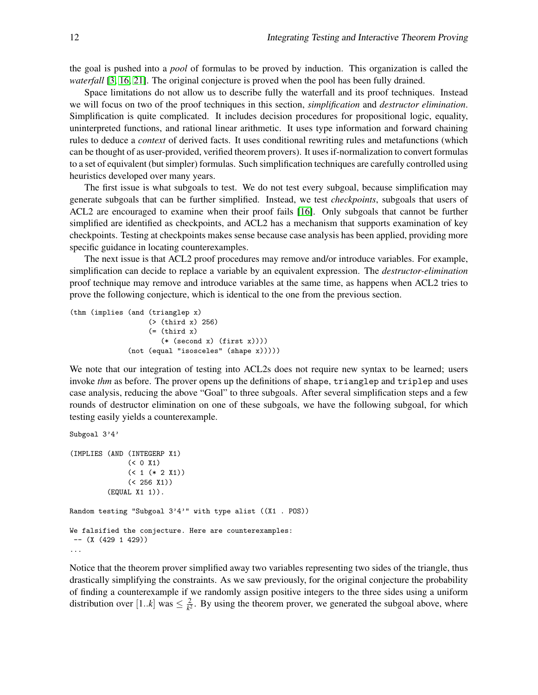the goal is pushed into a *pool* of formulas to be proved by induction. This organization is called the *waterfall* [\[3,](#page-14-11) [16,](#page-15-11) [21\]](#page-15-12). The original conjecture is proved when the pool has been fully drained.

Space limitations do not allow us to describe fully the waterfall and its proof techniques. Instead we will focus on two of the proof techniques in this section, *simplification* and *destructor elimination*. Simplification is quite complicated. It includes decision procedures for propositional logic, equality, uninterpreted functions, and rational linear arithmetic. It uses type information and forward chaining rules to deduce a *context* of derived facts. It uses conditional rewriting rules and metafunctions (which can be thought of as user-provided, verified theorem provers). It uses if-normalization to convert formulas to a set of equivalent (but simpler) formulas. Such simplification techniques are carefully controlled using heuristics developed over many years.

The first issue is what subgoals to test. We do not test every subgoal, because simplification may generate subgoals that can be further simplified. Instead, we test *checkpoints*, subgoals that users of ACL2 are encouraged to examine when their proof fails [\[16\]](#page-15-11). Only subgoals that cannot be further simplified are identified as checkpoints, and ACL2 has a mechanism that supports examination of key checkpoints. Testing at checkpoints makes sense because case analysis has been applied, providing more specific guidance in locating counterexamples.

The next issue is that ACL2 proof procedures may remove and/or introduce variables. For example, simplification can decide to replace a variable by an equivalent expression. The *destructor-elimination* proof technique may remove and introduce variables at the same time, as happens when ACL2 tries to prove the following conjecture, which is identical to the one from the previous section.

```
(thm (implies (and (trianglep x)
                   (> (third x) 256)
                   ( = (third x)(* (second x) (first x))))(not (equal "isosceles" (shape x)))))
```
We note that our integration of testing into ACL2s does not require new syntax to be learned; users invoke *thm* as before. The prover opens up the definitions of shape, trianglep and triplep and uses case analysis, reducing the above "Goal" to three subgoals. After several simplification steps and a few rounds of destructor elimination on one of these subgoals, we have the following subgoal, for which testing easily yields a counterexample.

```
Subgoal 3'4'
(IMPLIES (AND (INTEGERP X1)
              (50 X1)( ( + 2 X1))
              (< 256 X1))
         (EQUAL X1 1)).
Random testing "Subgoal 3'4'" with type alist ((X1 . POS))
We falsified the conjecture. Here are counterexamples:
 --(X (429 1 429))...
```
Notice that the theorem prover simplified away two variables representing two sides of the triangle, thus drastically simplifying the constraints. As we saw previously, for the original conjecture the probability of finding a counterexample if we randomly assign positive integers to the three sides using a uniform distribution over [1..*k*] was  $\leq \frac{2}{k^2}$  $\frac{2}{k^2}$ . By using the theorem prover, we generated the subgoal above, where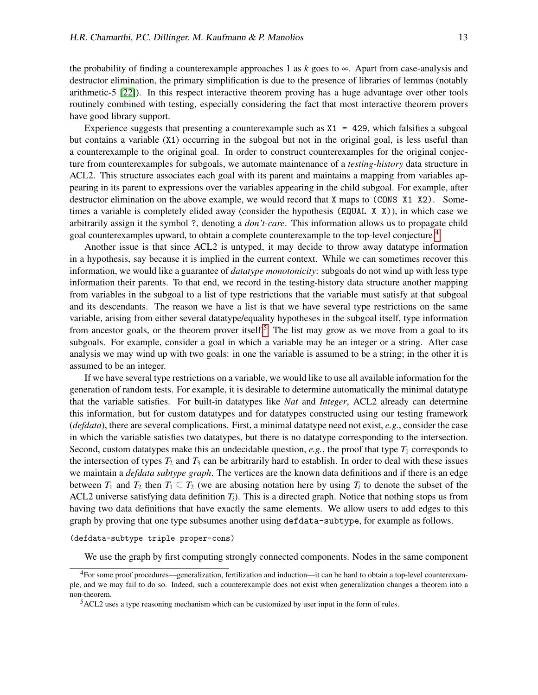the probability of finding a counterexample approaches 1 as  $k$  goes to  $\infty$ . Apart from case-analysis and destructor elimination, the primary simplification is due to the presence of libraries of lemmas (notably arithmetic-5 [\[22\]](#page-15-13)). In this respect interactive theorem proving has a huge advantage over other tools routinely combined with testing, especially considering the fact that most interactive theorem provers have good library support.

Experience suggests that presenting a counterexample such as  $X1 = 429$ , which falsifies a subgoal but contains a variable (X1) occurring in the subgoal but not in the original goal, is less useful than a counterexample to the original goal. In order to construct counterexamples for the original conjecture from counterexamples for subgoals, we automate maintenance of a *testing-history* data structure in ACL2. This structure associates each goal with its parent and maintains a mapping from variables appearing in its parent to expressions over the variables appearing in the child subgoal. For example, after destructor elimination on the above example, we would record that X maps to (CONS X1 X2). Sometimes a variable is completely elided away (consider the hypothesis (EQUAL X X)), in which case we arbitrarily assign it the symbol ?, denoting a *don't-care*. This information allows us to propagate child goal counterexamples upward, to obtain a complete counterexample to the top-level conjecture.<sup>[4](#page-9-0)</sup>

Another issue is that since ACL2 is untyped, it may decide to throw away datatype information in a hypothesis, say because it is implied in the current context. While we can sometimes recover this information, we would like a guarantee of *datatype monotonicity*: subgoals do not wind up with less type information their parents. To that end, we record in the testing-history data structure another mapping from variables in the subgoal to a list of type restrictions that the variable must satisfy at that subgoal and its descendants. The reason we have a list is that we have several type restrictions on the same variable, arising from either several datatype/equality hypotheses in the subgoal itself, type information from ancestor goals, or the theorem prover itself.<sup>[5](#page-9-1)</sup> The list may grow as we move from a goal to its subgoals. For example, consider a goal in which a variable may be an integer or a string. After case analysis we may wind up with two goals: in one the variable is assumed to be a string; in the other it is assumed to be an integer.

If we have several type restrictions on a variable, we would like to use all available information for the generation of random tests. For example, it is desirable to determine automatically the minimal datatype that the variable satisfies. For built-in datatypes like *Nat* and *Integer*, ACL2 already can determine this information, but for custom datatypes and for datatypes constructed using our testing framework (*defdata*), there are several complications. First, a minimal datatype need not exist, *e.g.*, consider the case in which the variable satisfies two datatypes, but there is no datatype corresponding to the intersection. Second, custom datatypes make this an undecidable question,  $e.g.,$  the proof that type  $T_1$  corresponds to the intersection of types  $T_2$  and  $T_3$  can be arbitrarily hard to establish. In order to deal with these issues we maintain a *defdata subtype graph*. The vertices are the known data definitions and if there is an edge between  $T_1$  and  $T_2$  then  $T_1 \subseteq T_2$  (we are abusing notation here by using  $T_i$  to denote the subset of the ACL2 universe satisfying data definition *Ti*). This is a directed graph. Notice that nothing stops us from having two data definitions that have exactly the same elements. We allow users to add edges to this graph by proving that one type subsumes another using defdata-subtype, for example as follows.

#### (defdata-subtype triple proper-cons)

<span id="page-9-0"></span>We use the graph by first computing strongly connected components. Nodes in the same component

<sup>4</sup>For some proof procedures—generalization, fertilization and induction—it can be hard to obtain a top-level counterexample, and we may fail to do so. Indeed, such a counterexample does not exist when generalization changes a theorem into a non-theorem.

<span id="page-9-1"></span><sup>5</sup>ACL2 uses a type reasoning mechanism which can be customized by user input in the form of rules.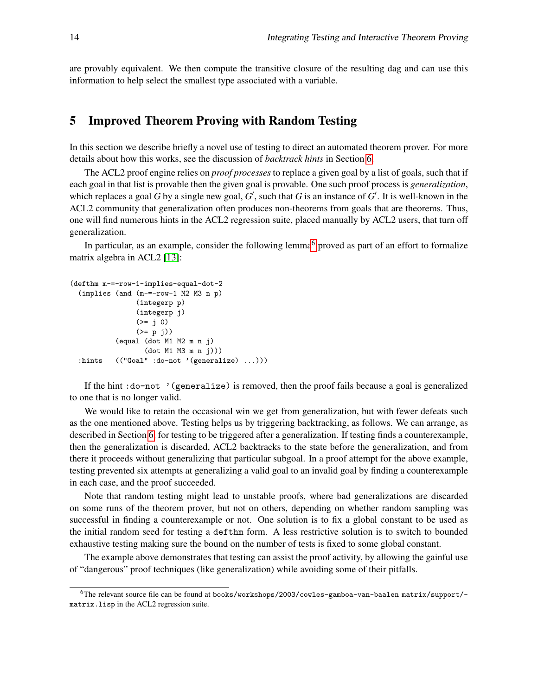are provably equivalent. We then compute the transitive closure of the resulting dag and can use this information to help select the smallest type associated with a variable.

## <span id="page-10-0"></span>5 Improved Theorem Proving with Random Testing

In this section we describe briefly a novel use of testing to direct an automated theorem prover. For more details about how this works, see the discussion of *backtrack hints* in Section [6.](#page-11-0)

The ACL2 proof engine relies on *proof processes* to replace a given goal by a list of goals, such that if each goal in that list is provable then the given goal is provable. One such proof process is *generalization*, which replaces a goal  $G$  by a single new goal,  $G'$ , such that  $G$  is an instance of  $G'$ . It is well-known in the ACL2 community that generalization often produces non-theorems from goals that are theorems. Thus, one will find numerous hints in the ACL2 regression suite, placed manually by ACL2 users, that turn off generalization.

In particular, as an example, consider the following lemma<sup>[6](#page-10-1)</sup> proved as part of an effort to formalize matrix algebra in ACL2 [\[13\]](#page-14-12):

```
(defthm m-=-row-1-implies-equal-dot-2
  (implies (and (m-=-row-1 M2 M3 n p)
                (integerp p)
                (integerp j)
                (>= 10)(>= p j))
           (equal (dot M1 M2 m n j)
                  (dot M1 M3 m n j)))
  :hints (("Goal" :do-not '(generalize) ...)))
```
If the hint :do-not '(generalize) is removed, then the proof fails because a goal is generalized to one that is no longer valid.

We would like to retain the occasional win we get from generalization, but with fewer defeats such as the one mentioned above. Testing helps us by triggering backtracking, as follows. We can arrange, as described in Section [6,](#page-11-0) for testing to be triggered after a generalization. If testing finds a counterexample, then the generalization is discarded, ACL2 backtracks to the state before the generalization, and from there it proceeds without generalizing that particular subgoal. In a proof attempt for the above example, testing prevented six attempts at generalizing a valid goal to an invalid goal by finding a counterexample in each case, and the proof succeeded.

Note that random testing might lead to unstable proofs, where bad generalizations are discarded on some runs of the theorem prover, but not on others, depending on whether random sampling was successful in finding a counterexample or not. One solution is to fix a global constant to be used as the initial random seed for testing a defthm form. A less restrictive solution is to switch to bounded exhaustive testing making sure the bound on the number of tests is fixed to some global constant.

The example above demonstrates that testing can assist the proof activity, by allowing the gainful use of "dangerous" proof techniques (like generalization) while avoiding some of their pitfalls.

<span id="page-10-1"></span><sup>6</sup>The relevant source file can be found at books/workshops/2003/cowles-gamboa-van-baalen matrix/support/ matrix.lisp in the ACL2 regression suite.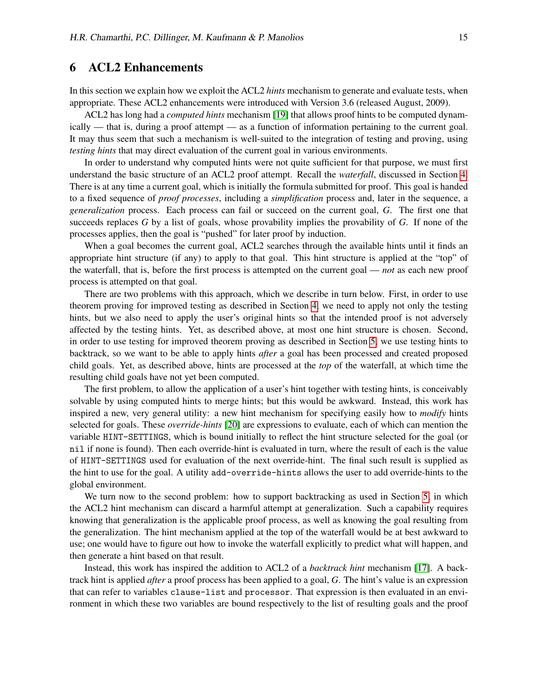### <span id="page-11-0"></span>6 ACL2 Enhancements

In this section we explain how we exploit the ACL2 *hints* mechanism to generate and evaluate tests, when appropriate. These ACL2 enhancements were introduced with Version 3.6 (released August, 2009).

ACL2 has long had a *computed hints* mechanism [\[19\]](#page-15-14) that allows proof hints to be computed dynamically — that is, during a proof attempt — as a function of information pertaining to the current goal. It may thus seem that such a mechanism is well-suited to the integration of testing and proving, using *testing hints* that may direct evaluation of the current goal in various environments.

In order to understand why computed hints were not quite sufficient for that purpose, we must first understand the basic structure of an ACL2 proof attempt. Recall the *waterfall*, discussed in Section [4.](#page-7-0) There is at any time a current goal, which is initially the formula submitted for proof. This goal is handed to a fixed sequence of *proof processes*, including a *simplification* process and, later in the sequence, a *generalization* process. Each process can fail or succeed on the current goal, *G*. The first one that succeeds replaces *G* by a list of goals, whose provability implies the provability of *G*. If none of the processes applies, then the goal is "pushed" for later proof by induction.

When a goal becomes the current goal, ACL2 searches through the available hints until it finds an appropriate hint structure (if any) to apply to that goal. This hint structure is applied at the "top" of the waterfall, that is, before the first process is attempted on the current goal — *not* as each new proof process is attempted on that goal.

There are two problems with this approach, which we describe in turn below. First, in order to use theorem proving for improved testing as described in Section [4,](#page-7-0) we need to apply not only the testing hints, but we also need to apply the user's original hints so that the intended proof is not adversely affected by the testing hints. Yet, as described above, at most one hint structure is chosen. Second, in order to use testing for improved theorem proving as described in Section [5,](#page-10-0) we use testing hints to backtrack, so we want to be able to apply hints *after* a goal has been processed and created proposed child goals. Yet, as described above, hints are processed at the *top* of the waterfall, at which time the resulting child goals have not yet been computed.

The first problem, to allow the application of a user's hint together with testing hints, is conceivably solvable by using computed hints to merge hints; but this would be awkward. Instead, this work has inspired a new, very general utility: a new hint mechanism for specifying easily how to *modify* hints selected for goals. These *override-hints* [\[20\]](#page-15-15) are expressions to evaluate, each of which can mention the variable HINT-SETTINGS, which is bound initially to reflect the hint structure selected for the goal (or nil if none is found). Then each override-hint is evaluated in turn, where the result of each is the value of HINT-SETTINGS used for evaluation of the next override-hint. The final such result is supplied as the hint to use for the goal. A utility add-override-hints allows the user to add override-hints to the global environment.

We turn now to the second problem: how to support backtracking as used in Section [5,](#page-10-0) in which the ACL2 hint mechanism can discard a harmful attempt at generalization. Such a capability requires knowing that generalization is the applicable proof process, as well as knowing the goal resulting from the generalization. The hint mechanism applied at the top of the waterfall would be at best awkward to use; one would have to figure out how to invoke the waterfall explicitly to predict what will happen, and then generate a hint based on that result.

Instead, this work has inspired the addition to ACL2 of a *backtrack hint* mechanism [\[17\]](#page-15-16). A backtrack hint is applied *after* a proof process has been applied to a goal, *G*. The hint's value is an expression that can refer to variables clause-list and processor. That expression is then evaluated in an environment in which these two variables are bound respectively to the list of resulting goals and the proof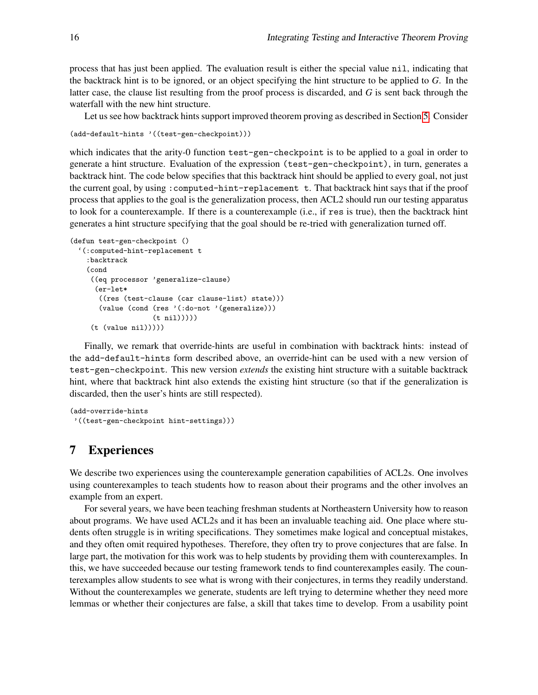process that has just been applied. The evaluation result is either the special value nil, indicating that the backtrack hint is to be ignored, or an object specifying the hint structure to be applied to *G*. In the latter case, the clause list resulting from the proof process is discarded, and *G* is sent back through the waterfall with the new hint structure.

Let us see how backtrack hints support improved theorem proving as described in Section [5.](#page-10-0) Consider

```
(add-default-hints '((test-gen-checkpoint)))
```
which indicates that the arity-0 function test-gen-checkpoint is to be applied to a goal in order to generate a hint structure. Evaluation of the expression (test-gen-checkpoint), in turn, generates a backtrack hint. The code below specifies that this backtrack hint should be applied to every goal, not just the current goal, by using :computed-hint-replacement t. That backtrack hint says that if the proof process that applies to the goal is the generalization process, then ACL2 should run our testing apparatus to look for a counterexample. If there is a counterexample (i.e., if res is true), then the backtrack hint generates a hint structure specifying that the goal should be re-tried with generalization turned off.

```
(defun test-gen-checkpoint ()
  '(:computed-hint-replacement t
    :backtrack
    (cond
     ((eq processor 'generalize-clause)
      (er-let*
       ((res (test-clause (car clause-list) state)))
       (value (cond (res '(:do-not '(generalize)))
                     (t nil)))))
     (t \text{ (value nil)})))
```
Finally, we remark that override-hints are useful in combination with backtrack hints: instead of the add-default-hints form described above, an override-hint can be used with a new version of test-gen-checkpoint. This new version *extends* the existing hint structure with a suitable backtrack hint, where that backtrack hint also extends the existing hint structure (so that if the generalization is discarded, then the user's hints are still respected).

```
(add-override-hints
'((test-gen-checkpoint hint-settings)))
```
# <span id="page-12-0"></span>7 Experiences

We describe two experiences using the counterexample generation capabilities of ACL2s. One involves using counterexamples to teach students how to reason about their programs and the other involves an example from an expert.

For several years, we have been teaching freshman students at Northeastern University how to reason about programs. We have used ACL2s and it has been an invaluable teaching aid. One place where students often struggle is in writing specifications. They sometimes make logical and conceptual mistakes, and they often omit required hypotheses. Therefore, they often try to prove conjectures that are false. In large part, the motivation for this work was to help students by providing them with counterexamples. In this, we have succeeded because our testing framework tends to find counterexamples easily. The counterexamples allow students to see what is wrong with their conjectures, in terms they readily understand. Without the counterexamples we generate, students are left trying to determine whether they need more lemmas or whether their conjectures are false, a skill that takes time to develop. From a usability point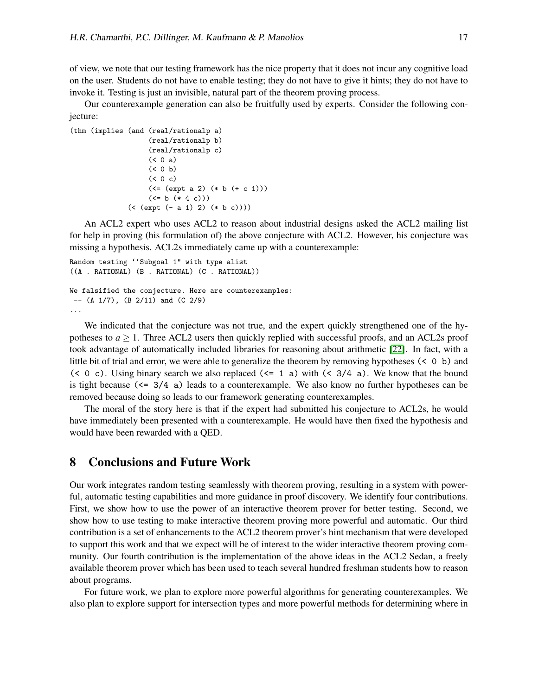of view, we note that our testing framework has the nice property that it does not incur any cognitive load on the user. Students do not have to enable testing; they do not have to give it hints; they do not have to invoke it. Testing is just an invisible, natural part of the theorem proving process.

Our counterexample generation can also be fruitfully used by experts. Consider the following conjecture:

```
(thm (implies (and (real/rationalp a)
                   (real/rationalp b)
                   (real/rationalp c)
                   (50a)( 0 b)
                   (0 c)(\leq - (expt a 2) (* b (+ c 1)))(\le b (+ 4 c)))(< (expt (- a 1) 2) (* b c))))
```
An ACL2 expert who uses ACL2 to reason about industrial designs asked the ACL2 mailing list for help in proving (his formulation of) the above conjecture with ACL2. However, his conjecture was missing a hypothesis. ACL2s immediately came up with a counterexample:

```
Random testing ''Subgoal 1" with type alist
((A . RATIONAL) (B . RATIONAL) (C . RATIONAL))
We falsified the conjecture. Here are counterexamples:
--(A \ 1/7), (B \ 2/11) and (C \ 2/9)...
```
We indicated that the conjecture was not true, and the expert quickly strengthened one of the hypotheses to  $a \geq 1$ . Three ACL2 users then quickly replied with successful proofs, and an ACL2s proof took advantage of automatically included libraries for reasoning about arithmetic [\[22\]](#page-15-13). In fact, with a little bit of trial and error, we were able to generalize the theorem by removing hypotheses (< 0 b) and (< 0 c). Using binary search we also replaced ( $\leq 1$  a) with ( $\leq 3/4$  a). We know that the bound is tight because  $(\leq 3/4)$  a) leads to a counterexample. We also know no further hypotheses can be removed because doing so leads to our framework generating counterexamples.

The moral of the story here is that if the expert had submitted his conjecture to ACL2s, he would have immediately been presented with a counterexample. He would have then fixed the hypothesis and would have been rewarded with a QED.

### 8 Conclusions and Future Work

Our work integrates random testing seamlessly with theorem proving, resulting in a system with powerful, automatic testing capabilities and more guidance in proof discovery. We identify four contributions. First, we show how to use the power of an interactive theorem prover for better testing. Second, we show how to use testing to make interactive theorem proving more powerful and automatic. Our third contribution is a set of enhancements to the ACL2 theorem prover's hint mechanism that were developed to support this work and that we expect will be of interest to the wider interactive theorem proving community. Our fourth contribution is the implementation of the above ideas in the ACL2 Sedan, a freely available theorem prover which has been used to teach several hundred freshman students how to reason about programs.

For future work, we plan to explore more powerful algorithms for generating counterexamples. We also plan to explore support for intersection types and more powerful methods for determining where in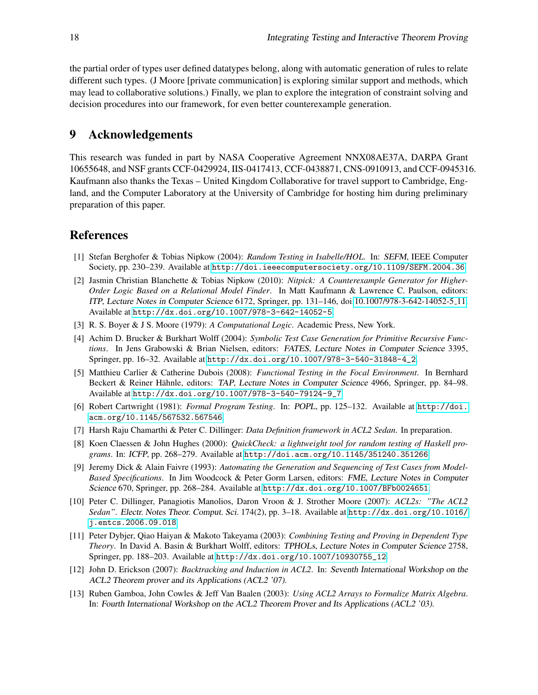the partial order of types user defined datatypes belong, along with automatic generation of rules to relate different such types. (J Moore [private communication] is exploring similar support and methods, which may lead to collaborative solutions.) Finally, we plan to explore the integration of constraint solving and decision procedures into our framework, for even better counterexample generation.

## 9 Acknowledgements

This research was funded in part by NASA Cooperative Agreement NNX08AE37A, DARPA Grant 10655648, and NSF grants CCF-0429924, IIS-0417413, CCF-0438871, CNS-0910913, and CCF-0945316. Kaufmann also thanks the Texas – United Kingdom Collaborative for travel support to Cambridge, England, and the Computer Laboratory at the University of Cambridge for hosting him during preliminary preparation of this paper.

## References

- <span id="page-14-2"></span>[1] Stefan Berghofer & Tobias Nipkow (2004): *Random Testing in Isabelle/HOL*. In: SEFM, IEEE Computer Society, pp. 230–239. Available at <http://doi.ieeecomputersociety.org/10.1109/SEFM.2004.36>.
- <span id="page-14-4"></span>[2] Jasmin Christian Blanchette & Tobias Nipkow (2010): *Nitpick: A Counterexample Generator for Higher-Order Logic Based on a Relational Model Finder*. In Matt Kaufmann & Lawrence C. Paulson, editors: ITP, Lecture Notes in Computer Science 6172, Springer, pp. 131–146, doi[:10.1007/978-3-642-14052-5](http://dx.doi.org/10.1007/978-3-642-14052-5_11) 11. Available at <http://dx.doi.org/10.1007/978-3-642-14052-5>.
- <span id="page-14-11"></span>[3] R. S. Boyer & J S. Moore (1979): *A Computational Logic*. Academic Press, New York.
- <span id="page-14-7"></span>[4] Achim D. Brucker & Burkhart Wolff (2004): *Symbolic Test Case Generation for Primitive Recursive Functions*. In Jens Grabowski & Brian Nielsen, editors: FATES, Lecture Notes in Computer Science 3395, Springer, pp. 16–32. Available at [http://dx.doi.org/10.1007/978-3-540-31848-4\\_2](http://dx.doi.org/10.1007/978-3-540-31848-4_2).
- <span id="page-14-8"></span>[5] Matthieu Carlier & Catherine Dubois (2008): *Functional Testing in the Focal Environment*. In Bernhard Beckert & Reiner Hähnle, editors: TAP, Lecture Notes in Computer Science 4966, Springer, pp. 84–98. Available at [http://dx.doi.org/10.1007/978-3-540-79124-9\\_7](http://dx.doi.org/10.1007/978-3-540-79124-9_7).
- <span id="page-14-5"></span>[6] Robert Cartwright (1981): *Formal Program Testing*. In: POPL, pp. 125–132. Available at [http://doi.](http://doi.acm.org/10.1145/567532.567546) [acm.org/10.1145/567532.567546](http://doi.acm.org/10.1145/567532.567546).
- <span id="page-14-10"></span>[7] Harsh Raju Chamarthi & Peter C. Dillinger: *Data Definition framework in ACL2 Sedan*. In preparation.
- <span id="page-14-1"></span>[8] Koen Claessen & John Hughes (2000): *QuickCheck: a lightweight tool for random testing of Haskell programs*. In: ICFP, pp. 268–279. Available at <http://doi.acm.org/10.1145/351240.351266>.
- <span id="page-14-6"></span>[9] Jeremy Dick & Alain Faivre (1993): *Automating the Generation and Sequencing of Test Cases from Model-Based Specifications*. In Jim Woodcock & Peter Gorm Larsen, editors: FME, Lecture Notes in Computer Science 670, Springer, pp. 268–284. Available at <http://dx.doi.org/10.1007/BFb0024651>.
- <span id="page-14-0"></span>[10] Peter C. Dillinger, Panagiotis Manolios, Daron Vroon & J. Strother Moore (2007): *ACL2s: "The ACL2 Sedan"*. Electr. Notes Theor. Comput. Sci. 174(2), pp. 3–18. Available at [http://dx.doi.org/10.1016/](http://dx.doi.org/10.1016/j.entcs.2006.09.018) [j.entcs.2006.09.018](http://dx.doi.org/10.1016/j.entcs.2006.09.018).
- <span id="page-14-3"></span>[11] Peter Dybjer, Qiao Haiyan & Makoto Takeyama (2003): *Combining Testing and Proving in Dependent Type Theory*. In David A. Basin & Burkhart Wolff, editors: TPHOLs, Lecture Notes in Computer Science 2758, Springer, pp. 188–203. Available at [http://dx.doi.org/10.1007/10930755\\_12](http://dx.doi.org/10.1007/10930755_12).
- <span id="page-14-9"></span>[12] John D. Erickson (2007): *Backtracking and Induction in ACL2*. In: Seventh International Workshop on the ACL2 Theorem prover and its Applications (ACL2 '07).
- <span id="page-14-12"></span>[13] Ruben Gamboa, John Cowles & Jeff Van Baalen (2003): *Using ACL2 Arrays to Formalize Matrix Algebra*. In: Fourth International Workshop on the ACL2 Theorem Prover and Its Applications (ACL2 '03).